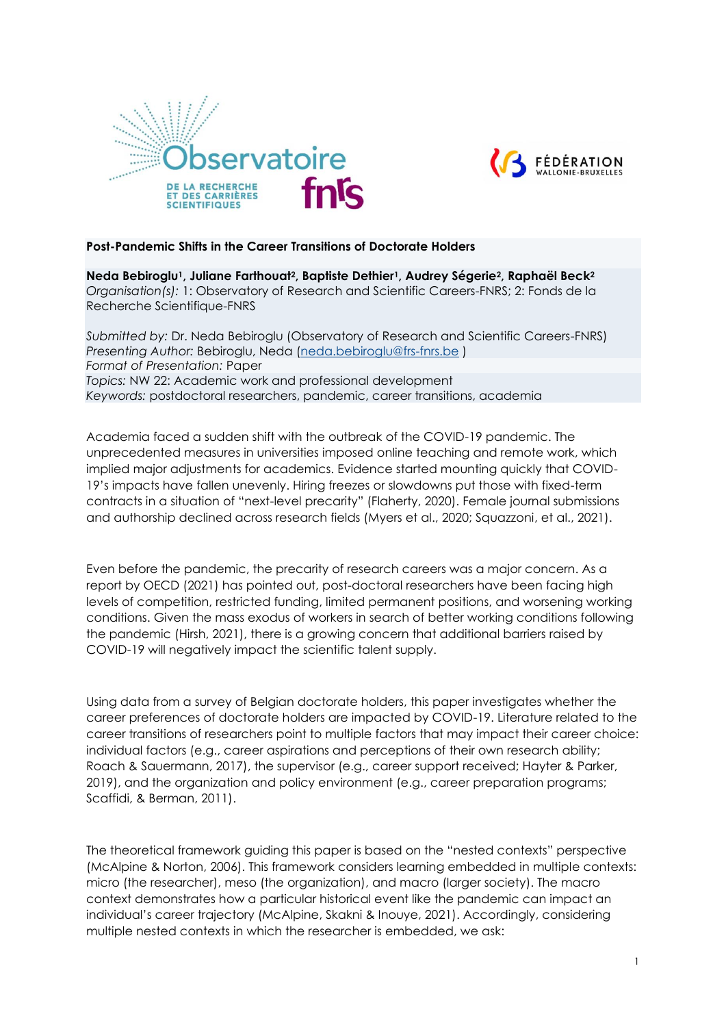



### **Post-Pandemic Shifts in the Career Transitions of Doctorate Holders**

**Neda Bebiroglu1, Juliane Farthouat2, Baptiste Dethier1, Audrey Ségerie2, Raphaël Beck<sup>2</sup>** *Organisation(s):* 1: Observatory of Research and Scientific Careers-FNRS; 2: Fonds de la Recherche Scientifique-FNRS

*Submitted by:* Dr. Neda Bebiroglu (Observatory of Research and Scientific Careers-FNRS) *Presenting Author:* Bebiroglu, Neda [\(neda.bebiroglu@frs-fnrs.be](mailto:neda.bebiroglu@frs-fnrs.be) ) *Format of Presentation:* Paper *Topics:* NW 22: Academic work and professional development *Keywords:* postdoctoral researchers, pandemic, career transitions, academia

Academia faced a sudden shift with the outbreak of the COVID-19 pandemic. The unprecedented measures in universities imposed online teaching and remote work, which implied major adjustments for academics. Evidence started mounting quickly that COVID-19's impacts have fallen unevenly. Hiring freezes or slowdowns put those with fixed-term contracts in a situation of "next-level precarity" (Flaherty, 2020). Female journal submissions and authorship declined across research fields (Myers et al., 2020; Squazzoni, et al., 2021).

Even before the pandemic, the precarity of research careers was a major concern. As a report by OECD (2021) has pointed out, post-doctoral researchers have been facing high levels of competition, restricted funding, limited permanent positions, and worsening working conditions. Given the mass exodus of workers in search of better working conditions following the pandemic (Hirsh, 2021), there is a growing concern that additional barriers raised by COVID-19 will negatively impact the scientific talent supply.

Using data from a survey of Belgian doctorate holders, this paper investigates whether the career preferences of doctorate holders are impacted by COVID-19. Literature related to the career transitions of researchers point to multiple factors that may impact their career choice: individual factors (e.g., career aspirations and perceptions of their own research ability; Roach & Sauermann, 2017), the supervisor (e.g., career support received; Hayter & Parker, 2019), and the organization and policy environment (e.g., career preparation programs; Scaffidi, & Berman, 2011).

The theoretical framework guiding this paper is based on the "nested contexts" perspective (McAlpine & Norton, 2006). This framework considers learning embedded in multiple contexts: micro (the researcher), meso (the organization), and macro (larger society). The macro context demonstrates how a particular historical event like the pandemic can impact an individual's career trajectory (McAlpine, Skakni & Inouye, 2021). Accordingly, considering multiple nested contexts in which the researcher is embedded, we ask: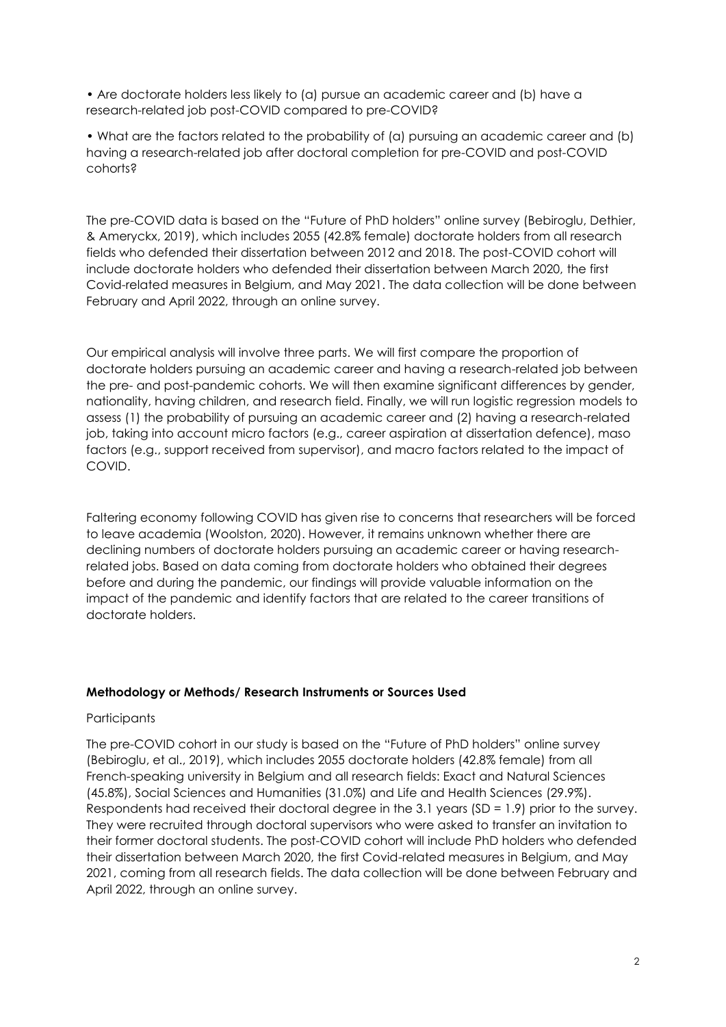• Are doctorate holders less likely to (a) pursue an academic career and (b) have a research-related job post-COVID compared to pre-COVID?

• What are the factors related to the probability of (a) pursuing an academic career and (b) having a research-related job after doctoral completion for pre-COVID and post-COVID cohorts?

The pre-COVID data is based on the "Future of PhD holders" online survey (Bebiroglu, Dethier, & Ameryckx, 2019), which includes 2055 (42.8% female) doctorate holders from all research fields who defended their dissertation between 2012 and 2018. The post-COVID cohort will include doctorate holders who defended their dissertation between March 2020, the first Covid-related measures in Belgium, and May 2021. The data collection will be done between February and April 2022, through an online survey.

Our empirical analysis will involve three parts. We will first compare the proportion of doctorate holders pursuing an academic career and having a research-related job between the pre- and post-pandemic cohorts. We will then examine significant differences by gender, nationality, having children, and research field. Finally, we will run logistic regression models to assess (1) the probability of pursuing an academic career and (2) having a research-related job, taking into account micro factors (e.g., career aspiration at dissertation defence), maso factors (e.g., support received from supervisor), and macro factors related to the impact of COVID.

Faltering economy following COVID has given rise to concerns that researchers will be forced to leave academia (Woolston, 2020). However, it remains unknown whether there are declining numbers of doctorate holders pursuing an academic career or having researchrelated jobs. Based on data coming from doctorate holders who obtained their degrees before and during the pandemic, our findings will provide valuable information on the impact of the pandemic and identify factors that are related to the career transitions of doctorate holders.

## **Methodology or Methods/ Research Instruments or Sources Used**

## **Participants**

The pre-COVID cohort in our study is based on the "Future of PhD holders" online survey (Bebiroglu, et al., 2019), which includes 2055 doctorate holders (42.8% female) from all French-speaking university in Belgium and all research fields: Exact and Natural Sciences (45.8%), Social Sciences and Humanities (31.0%) and Life and Health Sciences (29.9%). Respondents had received their doctoral degree in the 3.1 years (SD = 1.9) prior to the survey. They were recruited through doctoral supervisors who were asked to transfer an invitation to their former doctoral students. The post-COVID cohort will include PhD holders who defended their dissertation between March 2020, the first Covid-related measures in Belgium, and May 2021, coming from all research fields. The data collection will be done between February and April 2022, through an online survey.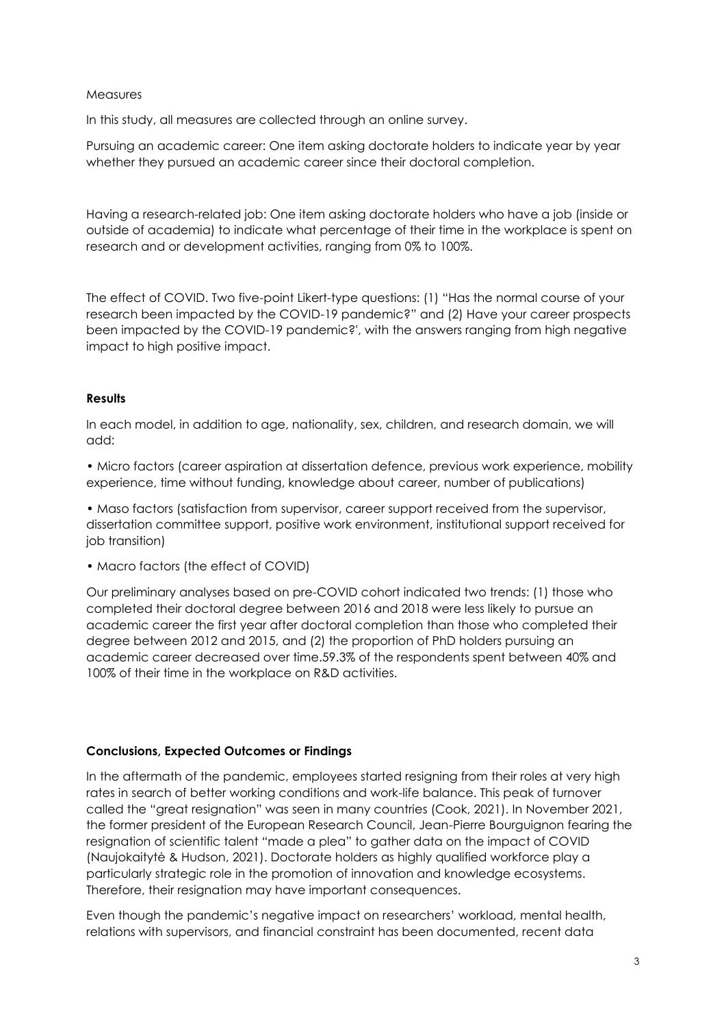### **Measures**

In this study, all measures are collected through an online survey.

Pursuing an academic career: One item asking doctorate holders to indicate year by year whether they pursued an academic career since their doctoral completion.

Having a research-related job: One item asking doctorate holders who have a job (inside or outside of academia) to indicate what percentage of their time in the workplace is spent on research and or development activities, ranging from 0% to 100%.

The effect of COVID. Two five-point Likert-type questions: (1) "Has the normal course of your research been impacted by the COVID-19 pandemic?" and (2) Have your career prospects been impacted by the COVID-19 pandemic?', with the answers ranging from high negative impact to high positive impact.

## **Results**

In each model, in addition to age, nationality, sex, children, and research domain, we will add:

• Micro factors (career aspiration at dissertation defence, previous work experience, mobility experience, time without funding, knowledge about career, number of publications)

• Maso factors (satisfaction from supervisor, career support received from the supervisor, dissertation committee support, positive work environment, institutional support received for job transition)

• Macro factors (the effect of COVID)

Our preliminary analyses based on pre-COVID cohort indicated two trends: (1) those who completed their doctoral degree between 2016 and 2018 were less likely to pursue an academic career the first year after doctoral completion than those who completed their degree between 2012 and 2015, and (2) the proportion of PhD holders pursuing an academic career decreased over time.59.3% of the respondents spent between 40% and 100% of their time in the workplace on R&D activities.

#### **Conclusions, Expected Outcomes or Findings**

In the aftermath of the pandemic, employees started resigning from their roles at very high rates in search of better working conditions and work-life balance. This peak of turnover called the "great resignation" was seen in many countries (Cook, 2021). In November 2021, the former president of the European Research Council, Jean-Pierre Bourguignon fearing the resignation of scientific talent "made a plea" to gather data on the impact of COVID (Naujokaitytė & Hudson, 2021). Doctorate holders as highly qualified workforce play a particularly strategic role in the promotion of innovation and knowledge ecosystems. Therefore, their resignation may have important consequences.

Even though the pandemic's negative impact on researchers' workload, mental health, relations with supervisors, and financial constraint has been documented, recent data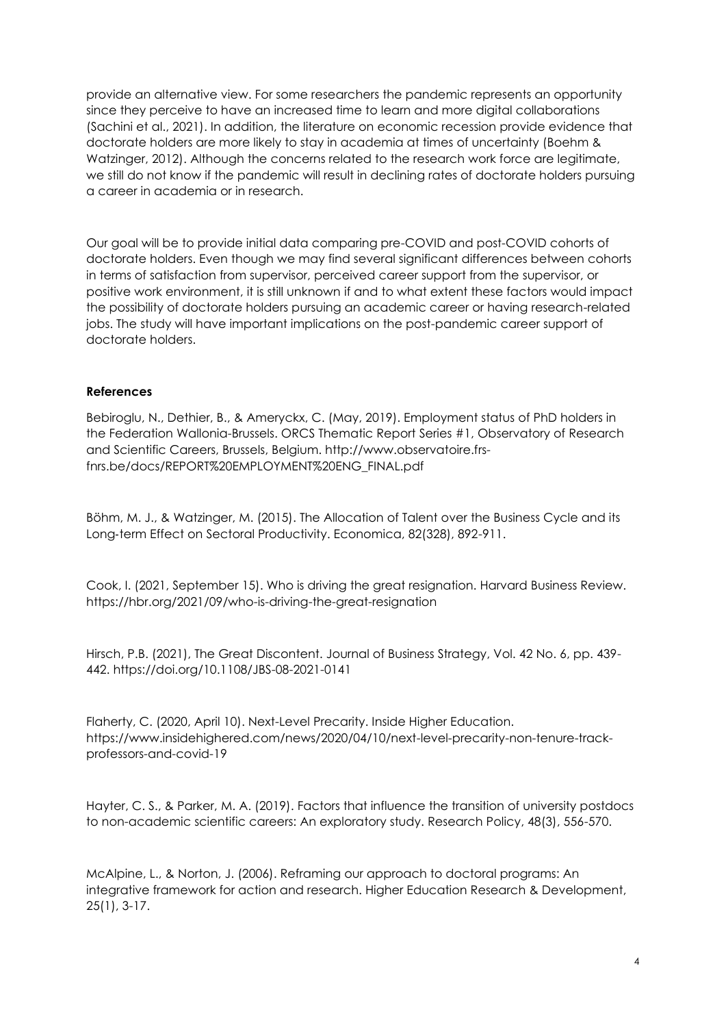provide an alternative view. For some researchers the pandemic represents an opportunity since they perceive to have an increased time to learn and more digital collaborations (Sachini et al., 2021). In addition, the literature on economic recession provide evidence that doctorate holders are more likely to stay in academia at times of uncertainty (Boehm & Watzinger, 2012). Although the concerns related to the research work force are legitimate, we still do not know if the pandemic will result in declining rates of doctorate holders pursuing a career in academia or in research.

Our goal will be to provide initial data comparing pre-COVID and post-COVID cohorts of doctorate holders. Even though we may find several significant differences between cohorts in terms of satisfaction from supervisor, perceived career support from the supervisor, or positive work environment, it is still unknown if and to what extent these factors would impact the possibility of doctorate holders pursuing an academic career or having research-related jobs. The study will have important implications on the post-pandemic career support of doctorate holders.

# **References**

Bebiroglu, N., Dethier, B., & Ameryckx, C. (May, 2019). Employment status of PhD holders in the Federation Wallonia-Brussels. ORCS Thematic Report Series #1, Observatory of Research and Scientific Careers, Brussels, Belgium. http://www.observatoire.frsfnrs.be/docs/REPORT%20EMPLOYMENT%20ENG\_FINAL.pdf

Böhm, M. J., & Watzinger, M. (2015). The Allocation of Talent over the Business Cycle and its Long-term Effect on Sectoral Productivity. Economica, 82(328), 892-911.

Cook, I. (2021, September 15). Who is driving the great resignation. Harvard Business Review. https://hbr.org/2021/09/who-is-driving-the-great-resignation

Hirsch, P.B. (2021), The Great Discontent. Journal of Business Strategy, Vol. 42 No. 6, pp. 439- 442. https://doi.org/10.1108/JBS-08-2021-0141

Flaherty, C. (2020, April 10). Next-Level Precarity. Inside Higher Education. https://www.insidehighered.com/news/2020/04/10/next-level-precarity-non-tenure-trackprofessors-and-covid-19

Hayter, C. S., & Parker, M. A. (2019). Factors that influence the transition of university postdocs to non-academic scientific careers: An exploratory study. Research Policy, 48(3), 556-570.

McAlpine, L., & Norton, J. (2006). Reframing our approach to doctoral programs: An integrative framework for action and research. Higher Education Research & Development, 25(1), 3-17.